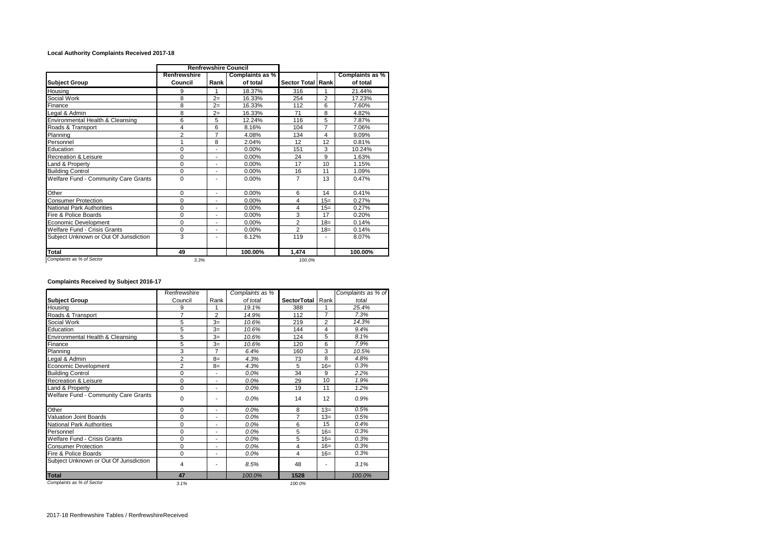## **Local Authority Complaints Received 2017-18**

|                                        | <b>Renfrewshire Council</b> |                |                 |                          |                |                 |
|----------------------------------------|-----------------------------|----------------|-----------------|--------------------------|----------------|-----------------|
|                                        | Renfrewshire                |                | Complaints as % |                          |                | Complaints as % |
| <b>Subject Group</b>                   | Council                     | Rank           | of total        | <b>Sector Total Rank</b> |                | of total        |
| Housing                                | 9                           | 1              | 18.37%          | 316                      |                | 21.44%          |
| Social Work                            | 8                           | $2=$           | 16.33%          | 254                      | $\overline{2}$ | 17.23%          |
| Finance                                | 8                           | $2=$           | 16.33%          | 112                      | 6              | 7.60%           |
| Legal & Admin                          | 8                           | $2=$           | 16.33%          | 71                       | 8              | 4.82%           |
| Environmental Health & Cleansing       | 6                           | 5              | 12.24%          | 116                      | 5              | 7.87%           |
| Roads & Transport                      | 4                           | 6              | 8.16%           | 104                      | $\overline{7}$ | 7.06%           |
| Planning                               | $\overline{2}$              | $\overline{7}$ | 4.08%           | 134                      | 4              | 9.09%           |
| Personnel                              | 1                           | 8              | 2.04%           | 12                       | 12             | 0.81%           |
| Education                              | $\Omega$                    |                | $0.00\%$        | 151                      | 3              | 10.24%          |
| Recreation & Leisure                   | $\Omega$                    | ٠              | 0.00%           | 24                       | 9              | 1.63%           |
| Land & Property                        | $\Omega$                    | ÷              | 0.00%           | 17                       | 10             | 1.15%           |
| <b>Building Control</b>                | $\Omega$                    | ٠              | 0.00%           | 16                       | 11             | 1.09%           |
| Welfare Fund - Community Care Grants   | $\Omega$                    |                | 0.00%           | 7                        | 13             | 0.47%           |
| Other                                  | $\Omega$                    | ÷,             | 0.00%           | 6                        | 14             | 0.41%           |
| <b>Consumer Protection</b>             | $\Omega$                    | ٠              | 0.00%           | 4                        | $15=$          | 0.27%           |
| National Park Authorities              | $\Omega$                    |                | 0.00%           | 4                        | $15=$          | 0.27%           |
| Fire & Police Boards                   | 0                           | ÷              | 0.00%           | 3                        | 17             | 0.20%           |
| Economic Development                   | $\Omega$                    | ÷,             | 0.00%           | $\overline{2}$           | $18 =$         | 0.14%           |
| Welfare Fund - Crisis Grants           | $\Omega$                    | ٠              | 0.00%           | $\overline{2}$           | $18=$          | 0.14%           |
| Subject Unknown or Out Of Jurisdiction | 3                           |                | 6.12%           | 119                      |                | 8.07%           |
| Total                                  | 49                          |                | 100.00%         | 1,474                    |                | 100.00%         |
| Complaints as % of Sector              | 3.3%                        |                |                 | 100.0%                   |                |                 |

## **Complaints Received by Subject 2016-17**

|                                        | Renfrewshire   |                | Complaints as % |                  |       | Complaints as % of |
|----------------------------------------|----------------|----------------|-----------------|------------------|-------|--------------------|
| <b>Subject Group</b>                   | Council        | Rank           | of total        | SectorTotal Rank |       | total              |
| Housing                                | 9              | 1              | 19.1%           | 388              |       | 25.4%              |
| Roads & Transport                      | 7              | $\overline{2}$ | 14.9%           | 112              | 7     | 7.3%               |
| Social Work                            | 5              | $3=$           | 10.6%           | 219              | 2     | 14.3%              |
| Education                              | 5              | $3=$           | 10.6%           | 144              | 4     | 9.4%               |
| Environmental Health & Cleansing       | 5              | $3=$           | 10.6%           | 124              | 5     | 8.1%               |
| Finance                                | 5              | $3=$           | 10.6%           | 120              | 6     | 7.9%               |
| Planning                               | 3              | $\overline{7}$ | 6.4%            | 160              | 3     | 10.5%              |
| egal & Admin                           | 2              | $8=$           | 4.3%            | 73               | 8     | 4.8%               |
| <b>Economic Development</b>            | $\overline{2}$ | $8=$           | 4.3%            | 5                | $16=$ | 0.3%               |
| <b>Building Control</b>                | 0              | ٠              | 0.0%            | 34               | 9     | 2.2%               |
| <b>Recreation &amp; Leisure</b>        | $\mathbf 0$    | ٠              | 0.0%            | 29               | 10    | 1.9%               |
| Land & Property                        | $\Omega$       | ٠              | 0.0%            | 19               | 11    | 1.2%               |
| Welfare Fund - Community Care Grants   | 0              |                | 0.0%            | 14               | 12    | 0.9%               |
| Other                                  | $\mathbf 0$    | ٠              | 0.0%            | 8                | $13=$ | 0.5%               |
| <b>Valuation Joint Boards</b>          | 0              | ٠              | 0.0%            | $\overline{7}$   | $13=$ | 0.5%               |
| <b>National Park Authorities</b>       | $\Omega$       | ٠              | 0.0%            | 6                | 15    | 0.4%               |
| Personnel                              | 0              | ٠              | 0.0%            | 5                | $16=$ | 0.3%               |
| <b>Welfare Fund - Crisis Grants</b>    | 0              | ٠              | 0.0%            | 5                | $16=$ | 0.3%               |
| <b>Consumer Protection</b>             | 0              | ٠              | 0.0%            | 4                | $16=$ | 0.3%               |
| Fire & Police Boards                   | 0              | ٠              | 0.0%            | $\overline{4}$   | $16=$ | 0.3%               |
| Subject Unknown or Out Of Jurisdiction | 4              | ٠              | 8.5%            | 48               |       | 3.1%               |
| Total                                  | 47             |                | 100.0%          | 1528             |       | 100.0%             |
| Complaints as % of Sector              | 3.1%           |                |                 | 100.0%           |       |                    |